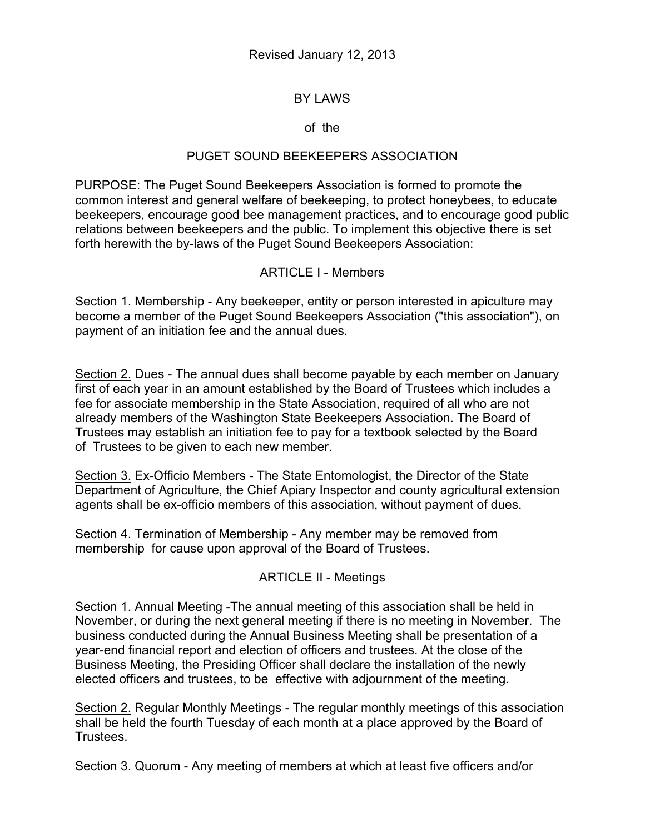# BY LAWS

### of the

## PUGET SOUND BEEKEEPERS ASSOCIATION

PURPOSE: The Puget Sound Beekeepers Association is formed to promote the common interest and general welfare of beekeeping, to protect honeybees, to educate beekeepers, encourage good bee management practices, and to encourage good public relations between beekeepers and the public. To implement this objective there is set forth herewith the by-laws of the Puget Sound Beekeepers Association:

### ARTICLE I - Members

Section 1. Membership - Any beekeeper, entity or person interested in apiculture may become a member of the Puget Sound Beekeepers Association ("this association"), on payment of an initiation fee and the annual dues.

Section 2. Dues - The annual dues shall become payable by each member on January first of each year in an amount established by the Board of Trustees which includes a fee for associate membership in the State Association, required of all who are not already members of the Washington State Beekeepers Association. The Board of Trustees may establish an initiation fee to pay for a textbook selected by the Board of Trustees to be given to each new member.

Section 3. Ex-Officio Members - The State Entomologist, the Director of the State Department of Agriculture, the Chief Apiary Inspector and county agricultural extension agents shall be ex-officio members of this association, without payment of dues.

Section 4. Termination of Membership - Any member may be removed from membership for cause upon approval of the Board of Trustees.

# ARTICLE II - Meetings

Section 1. Annual Meeting -The annual meeting of this association shall be held in November, or during the next general meeting if there is no meeting in November. The business conducted during the Annual Business Meeting shall be presentation of a year-end financial report and election of officers and trustees. At the close of the Business Meeting, the Presiding Officer shall declare the installation of the newly elected officers and trustees, to be effective with adjournment of the meeting.

Section 2. Regular Monthly Meetings - The regular monthly meetings of this association shall be held the fourth Tuesday of each month at a place approved by the Board of Trustees.

Section 3. Quorum - Any meeting of members at which at least five officers and/or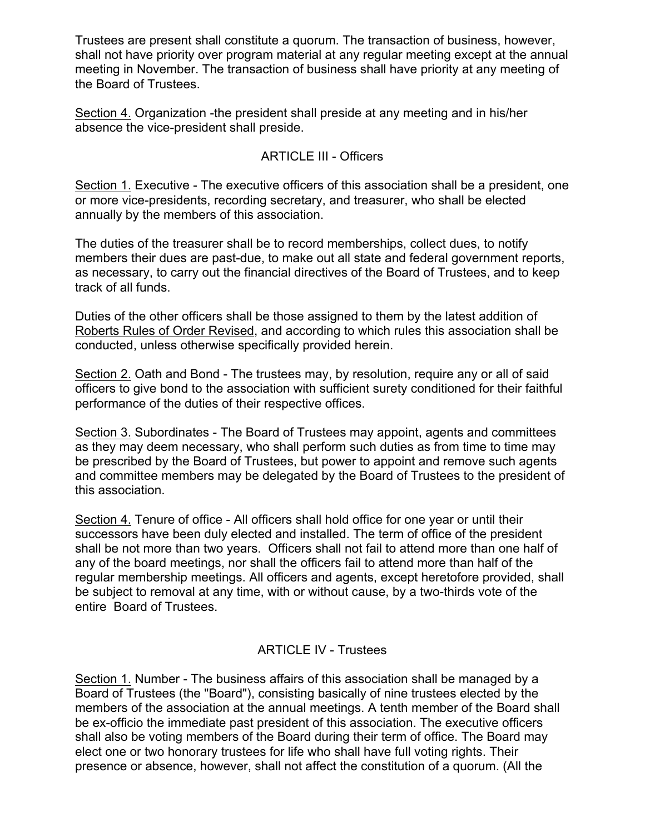Trustees are present shall constitute a quorum. The transaction of business, however, shall not have priority over program material at any regular meeting except at the annual meeting in November. The transaction of business shall have priority at any meeting of the Board of Trustees.

Section 4. Organization -the president shall preside at any meeting and in his/her absence the vice-president shall preside.

### ARTICLE III - Officers

Section 1. Executive - The executive officers of this association shall be a president, one or more vice-presidents, recording secretary, and treasurer, who shall be elected annually by the members of this association.

The duties of the treasurer shall be to record memberships, collect dues, to notify members their dues are past-due, to make out all state and federal government reports, as necessary, to carry out the financial directives of the Board of Trustees, and to keep track of all funds.

Duties of the other officers shall be those assigned to them by the latest addition of Roberts Rules of Order Revised, and according to which rules this association shall be conducted, unless otherwise specifically provided herein.

Section 2. Oath and Bond - The trustees may, by resolution, require any or all of said officers to give bond to the association with sufficient surety conditioned for their faithful performance of the duties of their respective offices.

Section 3. Subordinates - The Board of Trustees may appoint, agents and committees as they may deem necessary, who shall perform such duties as from time to time may be prescribed by the Board of Trustees, but power to appoint and remove such agents and committee members may be delegated by the Board of Trustees to the president of this association.

Section 4. Tenure of office - All officers shall hold office for one year or until their successors have been duly elected and installed. The term of office of the president shall be not more than two years. Officers shall not fail to attend more than one half of any of the board meetings, nor shall the officers fail to attend more than half of the regular membership meetings. All officers and agents, except heretofore provided, shall be subject to removal at any time, with or without cause, by a two-thirds vote of the entire Board of Trustees.

### ARTICLE IV - Trustees

Section 1. Number - The business affairs of this association shall be managed by a Board of Trustees (the "Board"), consisting basically of nine trustees elected by the members of the association at the annual meetings. A tenth member of the Board shall be ex-officio the immediate past president of this association. The executive officers shall also be voting members of the Board during their term of office. The Board may elect one or two honorary trustees for life who shall have full voting rights. Their presence or absence, however, shall not affect the constitution of a quorum. (All the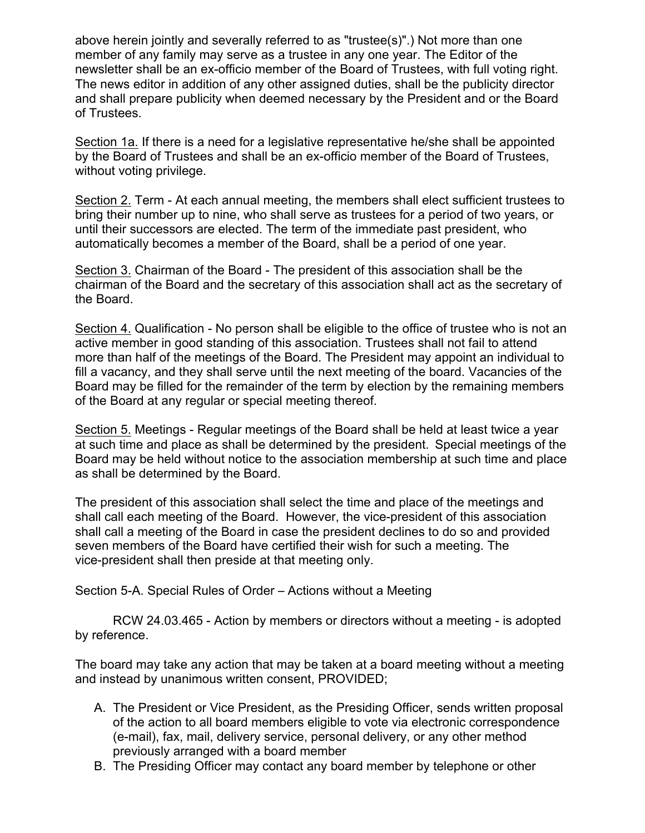above herein jointly and severally referred to as "trustee(s)".) Not more than one member of any family may serve as a trustee in any one year. The Editor of the newsletter shall be an ex-officio member of the Board of Trustees, with full voting right. The news editor in addition of any other assigned duties, shall be the publicity director and shall prepare publicity when deemed necessary by the President and or the Board of Trustees.

Section 1a. If there is a need for a legislative representative he/she shall be appointed by the Board of Trustees and shall be an ex-officio member of the Board of Trustees, without voting privilege.

Section 2. Term - At each annual meeting, the members shall elect sufficient trustees to bring their number up to nine, who shall serve as trustees for a period of two years, or until their successors are elected. The term of the immediate past president, who automatically becomes a member of the Board, shall be a period of one year.

Section 3. Chairman of the Board - The president of this association shall be the chairman of the Board and the secretary of this association shall act as the secretary of the Board.

Section 4. Qualification - No person shall be eligible to the office of trustee who is not an active member in good standing of this association. Trustees shall not fail to attend more than half of the meetings of the Board. The President may appoint an individual to fill a vacancy, and they shall serve until the next meeting of the board. Vacancies of the Board may be filled for the remainder of the term by election by the remaining members of the Board at any regular or special meeting thereof.

Section 5. Meetings - Regular meetings of the Board shall be held at least twice a year at such time and place as shall be determined by the president. Special meetings of the Board may be held without notice to the association membership at such time and place as shall be determined by the Board.

The president of this association shall select the time and place of the meetings and shall call each meeting of the Board. However, the vice-president of this association shall call a meeting of the Board in case the president declines to do so and provided seven members of the Board have certified their wish for such a meeting. The vice-president shall then preside at that meeting only.

Section 5-A. Special Rules of Order – Actions without a Meeting

RCW 24.03.465 - Action by members or directors without a meeting - is adopted by reference.

The board may take any action that may be taken at a board meeting without a meeting and instead by unanimous written consent, PROVIDED;

- A. The President or Vice President, as the Presiding Officer, sends written proposal of the action to all board members eligible to vote via electronic correspondence (e-mail), fax, mail, delivery service, personal delivery, or any other method previously arranged with a board member
- B. The Presiding Officer may contact any board member by telephone or other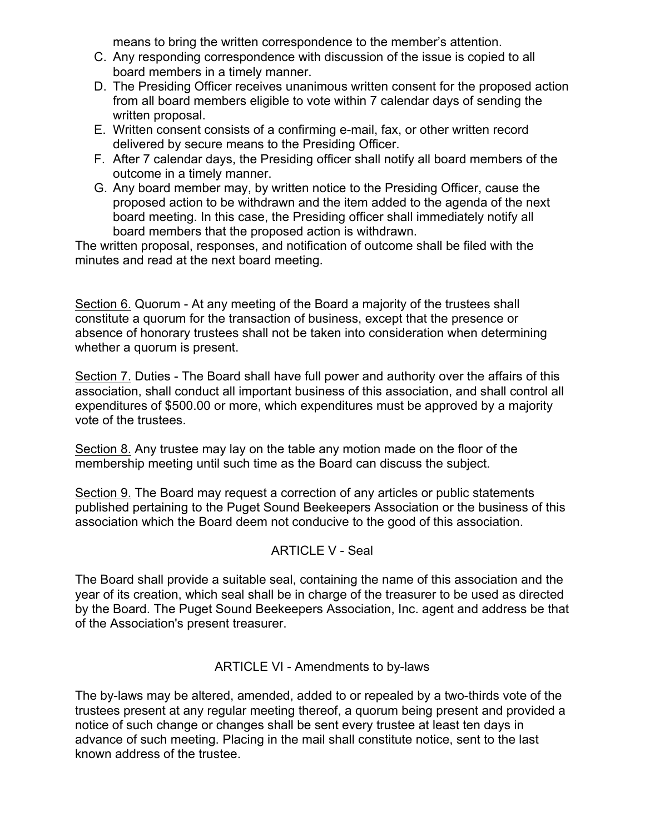means to bring the written correspondence to the member's attention.

- C. Any responding correspondence with discussion of the issue is copied to all board members in a timely manner.
- D. The Presiding Officer receives unanimous written consent for the proposed action from all board members eligible to vote within 7 calendar days of sending the written proposal.
- E. Written consent consists of a confirming e-mail, fax, or other written record delivered by secure means to the Presiding Officer.
- F. After 7 calendar days, the Presiding officer shall notify all board members of the outcome in a timely manner.
- G. Any board member may, by written notice to the Presiding Officer, cause the proposed action to be withdrawn and the item added to the agenda of the next board meeting. In this case, the Presiding officer shall immediately notify all board members that the proposed action is withdrawn.

The written proposal, responses, and notification of outcome shall be filed with the minutes and read at the next board meeting.

Section 6. Quorum - At any meeting of the Board a majority of the trustees shall constitute a quorum for the transaction of business, except that the presence or absence of honorary trustees shall not be taken into consideration when determining whether a quorum is present.

Section 7. Duties - The Board shall have full power and authority over the affairs of this association, shall conduct all important business of this association, and shall control all expenditures of \$500.00 or more, which expenditures must be approved by a majority vote of the trustees.

Section 8. Any trustee may lay on the table any motion made on the floor of the membership meeting until such time as the Board can discuss the subject.

Section 9. The Board may request a correction of any articles or public statements published pertaining to the Puget Sound Beekeepers Association or the business of this association which the Board deem not conducive to the good of this association.

# ARTICLE V - Seal

The Board shall provide a suitable seal, containing the name of this association and the year of its creation, which seal shall be in charge of the treasurer to be used as directed by the Board. The Puget Sound Beekeepers Association, Inc. agent and address be that of the Association's present treasurer.

#### ARTICLE VI - Amendments to by-laws

The by-laws may be altered, amended, added to or repealed by a two-thirds vote of the trustees present at any regular meeting thereof, a quorum being present and provided a notice of such change or changes shall be sent every trustee at least ten days in advance of such meeting. Placing in the mail shall constitute notice, sent to the last known address of the trustee.